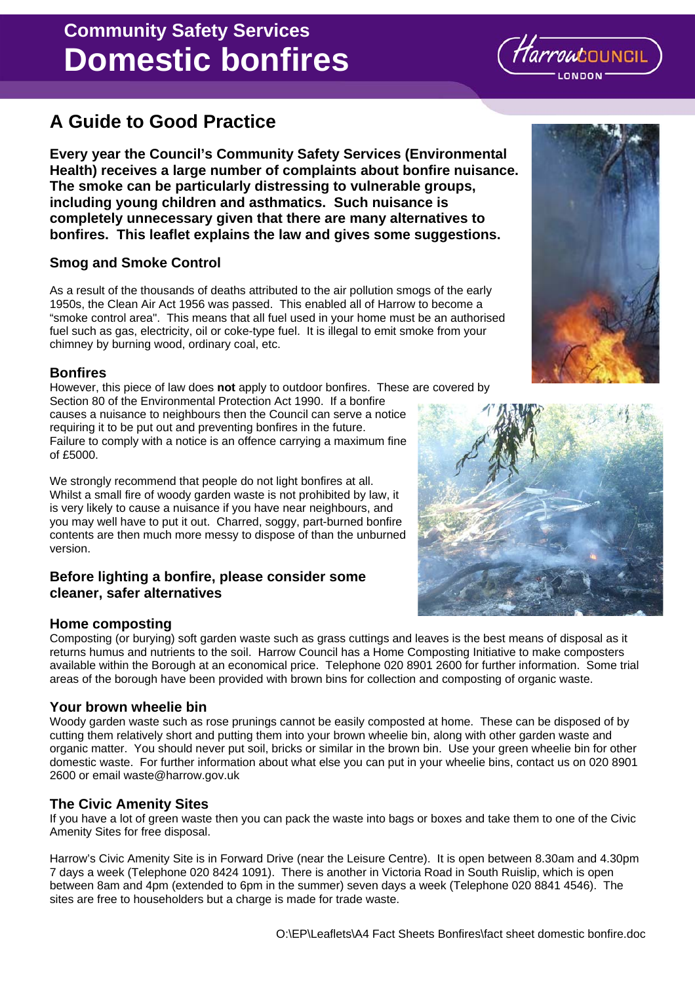### O:\EP\Leaflets\A4 Fact Sheets Bonfires\fact sheet domestic bonfire.doc

# **Domestic bonfires Community Safety Services**

# **A Guide to Good Practice**

**Every year the Council's Community Safety Services (Environmental Health) receives a large number of complaints about bonfire nuisance. The smoke can be particularly distressing to vulnerable groups, including young children and asthmatics. Such nuisance is completely unnecessary given that there are many alternatives to bonfires. This leaflet explains the law and gives some suggestions.**

## **Smog and Smoke Control**

As a result of the thousands of deaths attributed to the air pollution smogs of the early 1950s, the Clean Air Act 1956 was passed. This enabled all of Harrow to become a "smoke control area". This means that all fuel used in your home must be an authorised fuel such as gas, electricity, oil or coke-type fuel. It is illegal to emit smoke from your chimney by burning wood, ordinary coal, etc.

#### **Bonfires**

However, this piece of law does **not** apply to outdoor bonfires. These are covered by Section 80 of the Environmental Protection Act 1990. If a bonfire

causes a nuisance to neighbours then the Council can serve a notice requiring it to be put out and preventing bonfires in the future. Failure to comply with a notice is an offence carrying a maximum fine of £5000.

We strongly recommend that people do not light bonfires at all. Whilst a small fire of woody garden waste is not prohibited by law, it is very likely to cause a nuisance if you have near neighbours, and you may well have to put it out. Charred, soggy, part-burned bonfire contents are then much more messy to dispose of than the unburned version.

#### **Before lighting a bonfire, please consider some cleaner, safer alternatives**

#### **Home composting**

Composting (or burying) soft garden waste such as grass cuttings and leaves is the best means of disposal as it returns humus and nutrients to the soil. Harrow Council has a Home Composting Initiative to make composters available within the Borough at an economical price. Telephone 020 8901 2600 for further information. Some trial areas of the borough have been provided with brown bins for collection and composting of organic waste.

#### **Your brown wheelie bin**

Woody garden waste such as rose prunings cannot be easily composted at home. These can be disposed of by cutting them relatively short and putting them into your brown wheelie bin, along with other garden waste and organic matter. You should never put soil, bricks or similar in the brown bin. Use your green wheelie bin for other domestic waste. For further information about what else you can put in your wheelie bins, contact us on 020 8901 2600 or email waste@harrow.gov.uk

#### **The Civic Amenity Sites**

If you have a lot of green waste then you can pack the waste into bags or boxes and take them to one of the Civic Amenity Sites for free disposal.

Harrow's Civic Amenity Site is in Forward Drive (near the Leisure Centre). It is open between 8.30am and 4.30pm 7 days a week (Telephone 020 8424 1091). There is another in Victoria Road in South Ruislip, which is open between 8am and 4pm (extended to 6pm in the summer) seven days a week (Telephone 020 8841 4546). The sites are free to householders but a charge is made for trade waste.